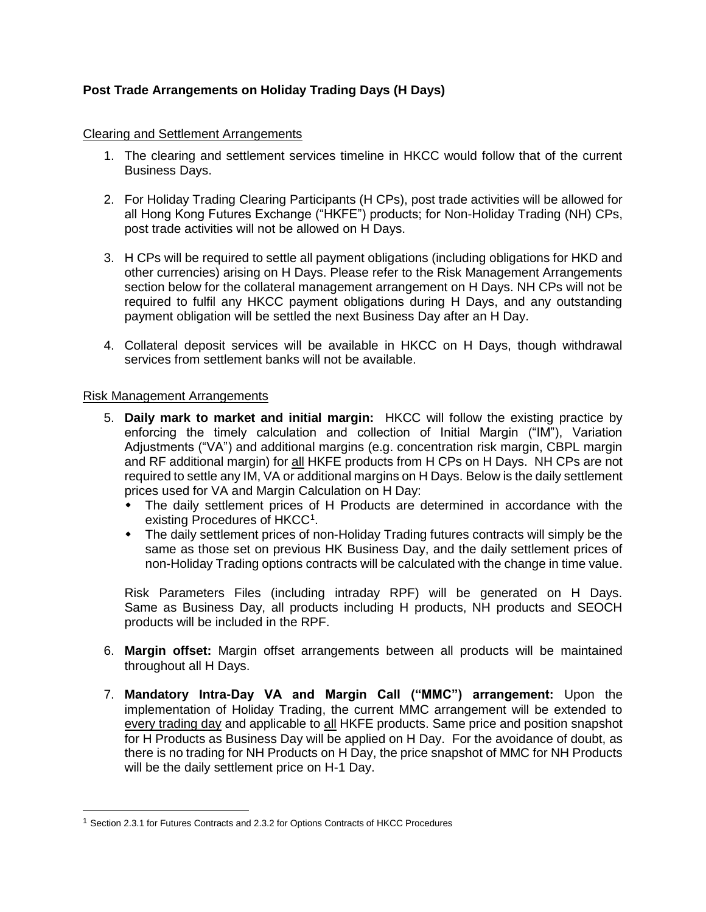## **Post Trade Arrangements on Holiday Trading Days (H Days)**

#### Clearing and Settlement Arrangements

- 1. The clearing and settlement services timeline in HKCC would follow that of the current Business Days.
- 2. For Holiday Trading Clearing Participants (H CPs), post trade activities will be allowed for all Hong Kong Futures Exchange ("HKFE") products; for Non-Holiday Trading (NH) CPs, post trade activities will not be allowed on H Days.
- 3. H CPs will be required to settle all payment obligations (including obligations for HKD and other currencies) arising on H Days. Please refer to the Risk Management Arrangements section below for the collateral management arrangement on H Days. NH CPs will not be required to fulfil any HKCC payment obligations during H Days, and any outstanding payment obligation will be settled the next Business Day after an H Day.
- 4. Collateral deposit services will be available in HKCC on H Days, though withdrawal services from settlement banks will not be available.

#### Risk Management Arrangements

l

- 5. **Daily mark to market and initial margin:** HKCC will follow the existing practice by enforcing the timely calculation and collection of Initial Margin ("IM"), Variation Adjustments ("VA") and additional margins (e.g. concentration risk margin, CBPL margin and RF additional margin) for all HKFE products from H CPs on H Days. NH CPs are not required to settle any IM, VA or additional margins on H Days. Below is the daily settlement prices used for VA and Margin Calculation on H Day:
	- The daily settlement prices of H Products are determined in accordance with the existing Procedures of HKCC<sup>1</sup>.
	- The daily settlement prices of non-Holiday Trading futures contracts will simply be the same as those set on previous HK Business Day, and the daily settlement prices of non-Holiday Trading options contracts will be calculated with the change in time value.

Risk Parameters Files (including intraday RPF) will be generated on H Days. Same as Business Day, all products including H products, NH products and SEOCH products will be included in the RPF.

- 6. **Margin offset:** Margin offset arrangements between all products will be maintained throughout all H Days.
- 7. **Mandatory Intra-Day VA and Margin Call ("MMC") arrangement:** Upon the implementation of Holiday Trading, the current MMC arrangement will be extended to every trading day and applicable to all HKFE products. Same price and position snapshot for H Products as Business Day will be applied on H Day. For the avoidance of doubt, as there is no trading for NH Products on H Day, the price snapshot of MMC for NH Products will be the daily settlement price on H-1 Day.

<sup>1</sup> Section 2.3.1 for Futures Contracts and 2.3.2 for Options Contracts of HKCC Procedures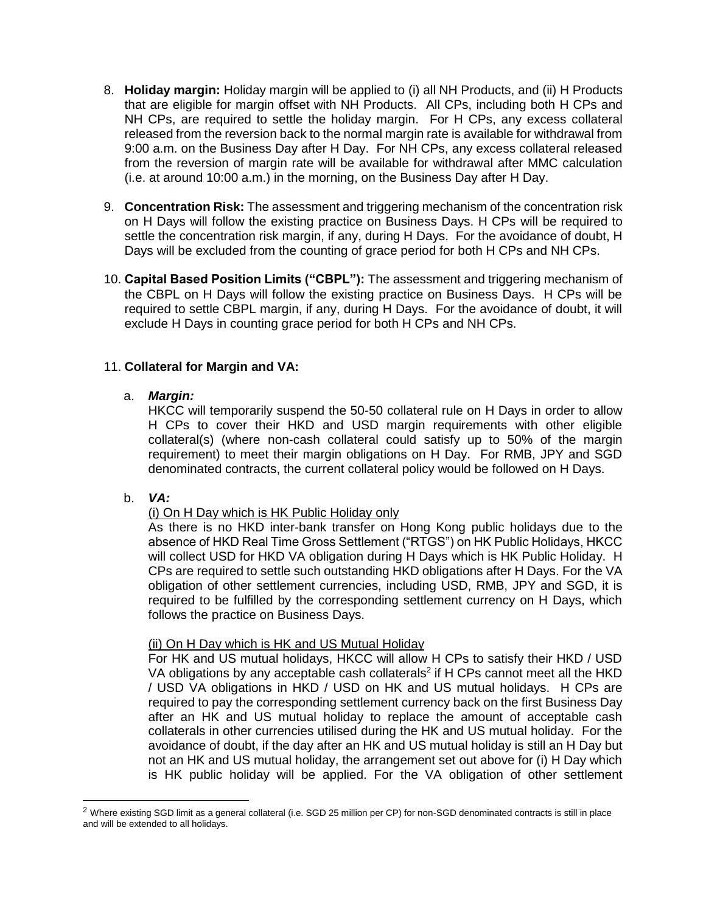- 8. **Holiday margin:** Holiday margin will be applied to (i) all NH Products, and (ii) H Products that are eligible for margin offset with NH Products. All CPs, including both H CPs and NH CPs, are required to settle the holiday margin. For H CPs, any excess collateral released from the reversion back to the normal margin rate is available for withdrawal from 9:00 a.m. on the Business Day after H Day. For NH CPs, any excess collateral released from the reversion of margin rate will be available for withdrawal after MMC calculation (i.e. at around 10:00 a.m.) in the morning, on the Business Day after H Day.
- 9. **Concentration Risk:** The assessment and triggering mechanism of the concentration risk on H Days will follow the existing practice on Business Days. H CPs will be required to settle the concentration risk margin, if any, during H Days. For the avoidance of doubt, H Days will be excluded from the counting of grace period for both H CPs and NH CPs.
- 10. **Capital Based Position Limits ("CBPL"):** The assessment and triggering mechanism of the CBPL on H Days will follow the existing practice on Business Days. H CPs will be required to settle CBPL margin, if any, during H Days. For the avoidance of doubt, it will exclude H Days in counting grace period for both H CPs and NH CPs.

## 11. **Collateral for Margin and VA:**

## a. *Margin:*

HKCC will temporarily suspend the 50-50 collateral rule on H Days in order to allow H CPs to cover their HKD and USD margin requirements with other eligible collateral(s) (where non-cash collateral could satisfy up to 50% of the margin requirement) to meet their margin obligations on H Day. For RMB, JPY and SGD denominated contracts, the current collateral policy would be followed on H Days.

b. *VA:*

l

## (i) On H Day which is HK Public Holiday only

As there is no HKD inter-bank transfer on Hong Kong public holidays due to the absence of HKD Real Time Gross Settlement ("RTGS") on HK Public Holidays, HKCC will collect USD for HKD VA obligation during H Days which is HK Public Holiday. H CPs are required to settle such outstanding HKD obligations after H Days. For the VA obligation of other settlement currencies, including USD, RMB, JPY and SGD, it is required to be fulfilled by the corresponding settlement currency on H Days, which follows the practice on Business Days.

## (ii) On H Day which is HK and US Mutual Holiday

For HK and US mutual holidays, HKCC will allow H CPs to satisfy their HKD / USD VA obligations by any acceptable cash collaterals<sup>2</sup> if H CPs cannot meet all the HKD / USD VA obligations in HKD / USD on HK and US mutual holidays. H CPs are required to pay the corresponding settlement currency back on the first Business Day after an HK and US mutual holiday to replace the amount of acceptable cash collaterals in other currencies utilised during the HK and US mutual holiday. For the avoidance of doubt, if the day after an HK and US mutual holiday is still an H Day but not an HK and US mutual holiday, the arrangement set out above for (i) H Day which is HK public holiday will be applied. For the VA obligation of other settlement

<sup>&</sup>lt;sup>2</sup> Where existing SGD limit as a general collateral (i.e. SGD 25 million per CP) for non-SGD denominated contracts is still in place and will be extended to all holidays.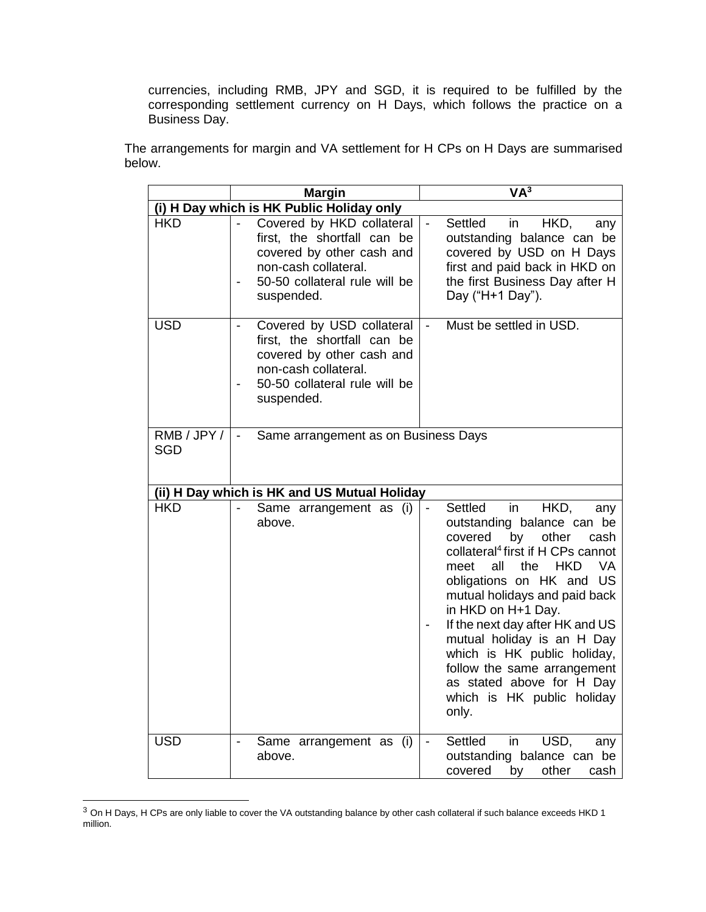currencies, including RMB, JPY and SGD, it is required to be fulfilled by the corresponding settlement currency on H Days, which follows the practice on a Business Day.

The arrangements for margin and VA settlement for H CPs on H Days are summarised below.

|                                              | <b>Margin</b>                                                                                                                                                                                | VA <sup>3</sup>                                                                                                                                                                                                                                                                                                                                                                                                                                                                      |  |
|----------------------------------------------|----------------------------------------------------------------------------------------------------------------------------------------------------------------------------------------------|--------------------------------------------------------------------------------------------------------------------------------------------------------------------------------------------------------------------------------------------------------------------------------------------------------------------------------------------------------------------------------------------------------------------------------------------------------------------------------------|--|
| (i) H Day which is HK Public Holiday only    |                                                                                                                                                                                              |                                                                                                                                                                                                                                                                                                                                                                                                                                                                                      |  |
| <b>HKD</b>                                   | Covered by HKD collateral<br>first, the shortfall can be<br>covered by other cash and<br>non-cash collateral.<br>50-50 collateral rule will be<br>$\qquad \qquad \blacksquare$<br>suspended. | <b>Settled</b><br>in<br>HKD,<br>$\frac{1}{2}$<br>any<br>outstanding balance can be<br>covered by USD on H Days<br>first and paid back in HKD on<br>the first Business Day after H<br>Day ("H+1 Day").                                                                                                                                                                                                                                                                                |  |
| <b>USD</b>                                   | Covered by USD collateral<br>$\qquad \qquad \blacksquare$<br>first, the shortfall can be<br>covered by other cash and<br>non-cash collateral.<br>50-50 collateral rule will be<br>suspended. | Must be settled in USD.<br>$\blacksquare$                                                                                                                                                                                                                                                                                                                                                                                                                                            |  |
| RMB/JPY/<br><b>SGD</b>                       | Same arrangement as on Business Days<br>$\blacksquare$                                                                                                                                       |                                                                                                                                                                                                                                                                                                                                                                                                                                                                                      |  |
| (ii) H Day which is HK and US Mutual Holiday |                                                                                                                                                                                              |                                                                                                                                                                                                                                                                                                                                                                                                                                                                                      |  |
| <b>HKD</b>                                   | Same arrangement as (i)<br>above.                                                                                                                                                            | <b>Settled</b><br>in<br>HKD,<br>any<br>outstanding balance can be<br>covered<br>by<br>other<br>cash<br>collateral <sup>4</sup> first if H CPs cannot<br>the<br><b>HKD</b><br>VA<br>meet<br>all<br>obligations on HK and US<br>mutual holidays and paid back<br>in HKD on H+1 Day.<br>If the next day after HK and US<br>mutual holiday is an H Day<br>which is HK public holiday,<br>follow the same arrangement<br>as stated above for H Day<br>which is HK public holiday<br>only. |  |
| <b>USD</b>                                   | Same arrangement as (i)<br>$\overline{\phantom{a}}$<br>above.                                                                                                                                | Settled<br>USD,<br>in<br>any<br>$\overline{\phantom{a}}$<br>outstanding balance can be<br>covered<br>other<br>by<br>cash                                                                                                                                                                                                                                                                                                                                                             |  |

<sup>&</sup>lt;sup>3</sup> On H Days, H CPs are only liable to cover the VA outstanding balance by other cash collateral if such balance exceeds HKD 1 million.

l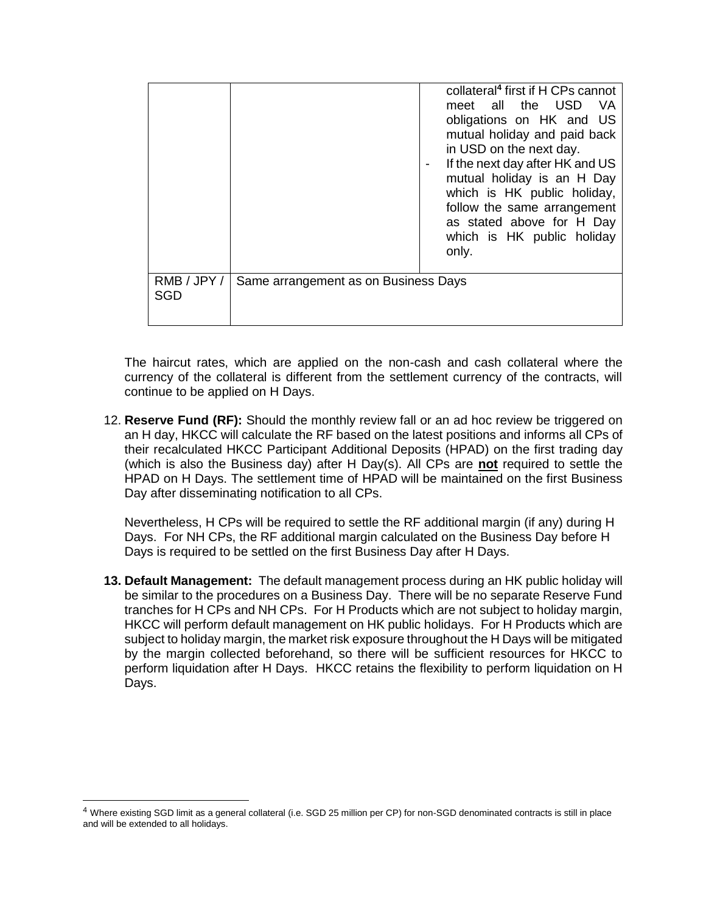|                           |                                      | collateral <sup>4</sup> first if H CPs cannot<br>meet all the USD<br>- VA<br>obligations on HK and US<br>mutual holiday and paid back<br>in USD on the next day.<br>If the next day after HK and US<br>mutual holiday is an H Day<br>which is HK public holiday,<br>follow the same arrangement<br>as stated above for H Day<br>which is HK public holiday<br>only. |
|---------------------------|--------------------------------------|---------------------------------------------------------------------------------------------------------------------------------------------------------------------------------------------------------------------------------------------------------------------------------------------------------------------------------------------------------------------|
| RMB / JPY /<br><b>SGD</b> | Same arrangement as on Business Days |                                                                                                                                                                                                                                                                                                                                                                     |

The haircut rates, which are applied on the non-cash and cash collateral where the currency of the collateral is different from the settlement currency of the contracts, will continue to be applied on H Days.

12. **Reserve Fund (RF):** Should the monthly review fall or an ad hoc review be triggered on an H day, HKCC will calculate the RF based on the latest positions and informs all CPs of their recalculated HKCC Participant Additional Deposits (HPAD) on the first trading day (which is also the Business day) after H Day(s). All CPs are **not** required to settle the HPAD on H Days. The settlement time of HPAD will be maintained on the first Business Day after disseminating notification to all CPs.

Nevertheless, H CPs will be required to settle the RF additional margin (if any) during H Days. For NH CPs, the RF additional margin calculated on the Business Day before H Days is required to be settled on the first Business Day after H Days.

**13. Default Management:** The default management process during an HK public holiday will be similar to the procedures on a Business Day. There will be no separate Reserve Fund tranches for H CPs and NH CPs. For H Products which are not subject to holiday margin, HKCC will perform default management on HK public holidays. For H Products which are subject to holiday margin, the market risk exposure throughout the H Days will be mitigated by the margin collected beforehand, so there will be sufficient resources for HKCC to perform liquidation after H Days. HKCC retains the flexibility to perform liquidation on H Days.

l

<sup>4</sup> Where existing SGD limit as a general collateral (i.e. SGD 25 million per CP) for non-SGD denominated contracts is still in place and will be extended to all holidays.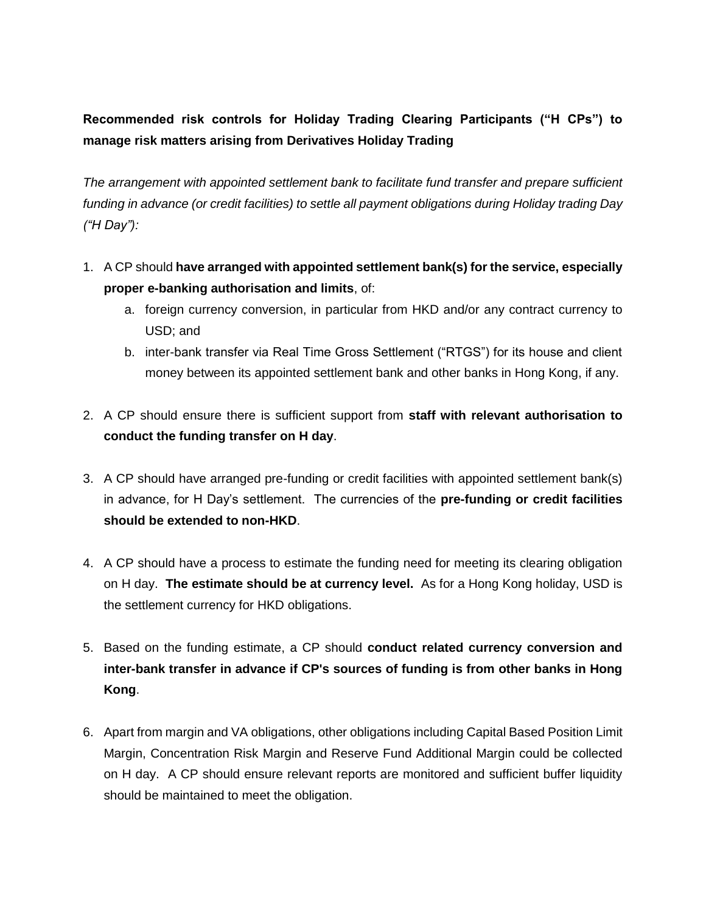# **Recommended risk controls for Holiday Trading Clearing Participants ("H CPs") to manage risk matters arising from Derivatives Holiday Trading**

*The arrangement with appointed settlement bank to facilitate fund transfer and prepare sufficient funding in advance (or credit facilities) to settle all payment obligations during Holiday trading Day ("H Day"):*

- 1. A CP should **have arranged with appointed settlement bank(s) for the service, especially proper e-banking authorisation and limits**, of:
	- a. foreign currency conversion, in particular from HKD and/or any contract currency to USD; and
	- b. inter-bank transfer via Real Time Gross Settlement ("RTGS") for its house and client money between its appointed settlement bank and other banks in Hong Kong, if any.
- 2. A CP should ensure there is sufficient support from **staff with relevant authorisation to conduct the funding transfer on H day**.
- 3. A CP should have arranged pre-funding or credit facilities with appointed settlement bank(s) in advance, for H Day's settlement. The currencies of the **pre-funding or credit facilities should be extended to non-HKD**.
- 4. A CP should have a process to estimate the funding need for meeting its clearing obligation on H day. **The estimate should be at currency level.** As for a Hong Kong holiday, USD is the settlement currency for HKD obligations.
- 5. Based on the funding estimate, a CP should **conduct related currency conversion and inter-bank transfer in advance if CP's sources of funding is from other banks in Hong Kong**.
- 6. Apart from margin and VA obligations, other obligations including Capital Based Position Limit Margin, Concentration Risk Margin and Reserve Fund Additional Margin could be collected on H day. A CP should ensure relevant reports are monitored and sufficient buffer liquidity should be maintained to meet the obligation.